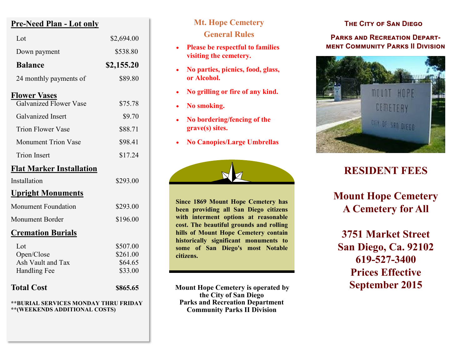# **Pre-Need Plan - Lot only**

| Lot                                                                   | \$2,694.00                                 |
|-----------------------------------------------------------------------|--------------------------------------------|
| Down payment                                                          | \$538.80                                   |
| <b>Balance</b>                                                        | \$2,155.20                                 |
| 24 monthly payments of                                                | \$89.80                                    |
| <b>Flower Vases</b><br><b>Galvanized Flower Vase</b>                  | \$75.78                                    |
| <b>Galvanized</b> Insert                                              | \$9.70                                     |
| <b>Trion Flower Vase</b>                                              | \$88.71                                    |
| <b>Monument Trion Vase</b>                                            | \$98.41                                    |
| <b>Trion Insert</b>                                                   | \$17.24                                    |
| <b>Flat Marker Installation</b>                                       |                                            |
| Installation                                                          | \$293.00                                   |
| <u><b>Upright Monuments</b></u>                                       |                                            |
| <b>Monument Foundation</b>                                            | \$293.00                                   |
| <b>Monument Border</b>                                                | \$196.00                                   |
| <u><b>Cremation Burials</b></u>                                       |                                            |
| Lot<br>Open/Close<br>Ash Vault and Tax<br>Handling Fee                | \$507.00<br>\$261.00<br>\$64.65<br>\$33.00 |
| <b>Total Cost</b>                                                     | \$865.65                                   |
| **BURIAL SERVICES MONDAY THRU FRIDAY<br>**(WEEKENDS ADDITIONAL COSTS) |                                            |

# **Mt. Hope Cemetery General Rules**

- **Please be respectful to families visiting the cemetery.**
- **No parties, picnics, food, glass, or Alcohol.**
- **No grilling or fire of any kind.**
- **No smoking.**
- **No bordering/fencing of the grave(s) sites.**
- **No Canopies/Large Umbrellas**



**Since 1869 Mount Hope Cemetery has been providing all San Diego citizens with interment options at reasonable cost. The beautiful grounds and rolling hills of Mount Hope Cemetery contain historically significant monuments to some of San Diego's most Notable citizens.**

**Mount Hope Cemetery is operated by the City of San Diego Parks and Recreation Department Community Parks II Division**

#### **The City of San Diego**

#### **Parks and Recreation Department Community Parks II Division**



# **RESIDENT FEES**

**Mount Hope Cemetery A Cemetery for All**

**3751 Market Street San Diego, Ca. 92102 619-527-3400 Prices Effective September 2015**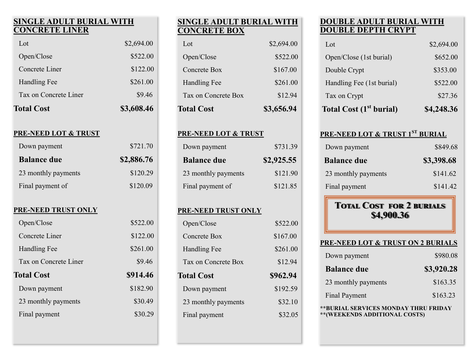#### **SINGLE ADULT BURIAL WITH CONCRETE LINER**

| <b>Total Cost</b>     | \$3,608.46 |
|-----------------------|------------|
| Tax on Concrete Liner | \$9.46     |
| Handling Fee          | \$261.00   |
| Concrete Liner        | \$122.00   |
| Open/Close            | \$522.00   |
| Lot                   | \$2,694.00 |
|                       |            |

#### **PRE-NEED LOT & TRUST**

| Down payment        | \$721.70   |
|---------------------|------------|
| <b>Balance due</b>  | \$2,886.76 |
| 23 monthly payments | \$120.29   |
| Final payment of    | \$120.09   |

#### **PRE-NEED TRUST ONLY**

| Open/Close            | \$522.00 |
|-----------------------|----------|
| Concrete Liner        | \$122.00 |
| Handling Fee          | \$261.00 |
| Tax on Concrete Liner | \$9.46   |
| <b>Total Cost</b>     | \$914.46 |
| Down payment          | \$182.90 |
| 23 monthly payments   | \$30.49  |
|                       |          |

#### **SINGLE ADULT BURIAL WITH CONCRETE BOX**

| <b>Total Cost</b>   | \$3,656.94 |
|---------------------|------------|
| Tax on Concrete Box | \$12.94    |
| <b>Handling Fee</b> | \$261.00   |
| Concrete Box        | \$167.00   |
| Open/Close          | \$522.00   |
| $tot$               | \$2,694.00 |

#### **PRE-NEED LOT & TRUST**

| Down payment        | \$731.39   |
|---------------------|------------|
| <b>Balance due</b>  | \$2,925.55 |
| 23 monthly payments | \$121.90   |
| Final payment of    | \$121.85   |

#### **PRE-NEED TRUST ONLY**

| Open/Close          | \$522.00 |
|---------------------|----------|
| Concrete Box        | \$167.00 |
| Handling Fee        | \$261.00 |
| Tax on Concrete Box | \$12.94  |
| <b>Total Cost</b>   | \$962.94 |
| Down payment        | \$192.59 |
| 23 monthly payments | \$32.10  |
|                     |          |

# **DOUBLE ADULT BURIAL WITH DOUBLE DEPTH CRYPT**

| <b>Total Cost (1st burial)</b> | \$4,248.36 |
|--------------------------------|------------|
| Tax on Crypt                   | \$27.36    |
| Handling Fee (1st burial)      | \$522.00   |
| Double Crypt                   | \$353.00   |
| Open/Close (1st burial)        | \$652.00   |
| Lot                            | \$2,694.00 |

#### **PRE-NEED LOT & TRUST 1ST BURIAL**

| Down payment        | \$849.68   |
|---------------------|------------|
| <b>Balance due</b>  | \$3,398.68 |
| 23 monthly payments | \$141.62   |
| Final payment       | \$141.42   |

# **Total Cost for 2 burials \$4,900.36**

| <b>PRE-NEED LOT &amp; TRUST ON 2 BURIALS</b> |            |
|----------------------------------------------|------------|
| Down payment                                 | \$980.08   |
| <b>Balance due</b>                           | \$3,920.28 |
| 23 monthly payments                          | \$163.35   |
| <b>Final Payment</b>                         | \$163.23   |
| **BURIAL SERVICES MONDAY THRU FRIDAY         |            |

**\*\*(WEEKENDS ADDITIONAL COSTS)**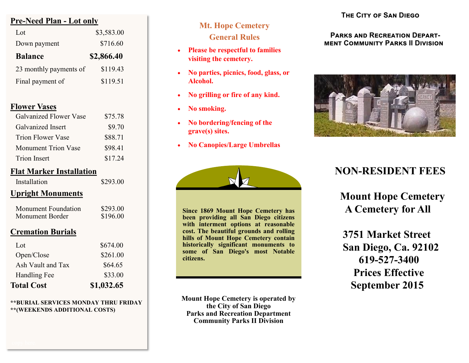## **Pre-Need Plan - Lot only**

| Lot.                   | \$3,583.00 |
|------------------------|------------|
| Down payment           | \$716.60   |
| <b>Balance</b>         | \$2,866.40 |
| 23 monthly payments of | \$119.43   |
| Final payment of       | \$119.51   |

#### **Flower Vases**

| Galvanized Flower Vase     | \$75.78 |
|----------------------------|---------|
| Galvanized Insert          | \$9.70  |
| Trion Flower Vase          | \$88.71 |
| <b>Monument Trion Vase</b> | \$98.41 |
| <b>Trion Insert</b>        | \$17.24 |
|                            |         |

## **Flat Marker Installation**

#### **Upright Monuments**

| Monument Foundation | \$293.00 |
|---------------------|----------|
| Monument Border     | \$196.00 |

# **Cremation Burials**

| <b>Total Cost</b> | \$1,032.65 |
|-------------------|------------|
| Handling Fee      | \$33.00    |
| Ash Vault and Tax | \$64.65    |
| Open/Close        | \$261.00   |
| Lot               | \$674.00   |

#### **\*\*BURIAL SERVICES MONDAY THRU FRIDAY \*\*(WEEKENDS ADDITIONAL COSTS)**

### **Mt. Hope Cemetery General Rules**

- **Please be respectful to families visiting the cemetery.**
- **No parties, picnics, food, glass, or Alcohol.**
- **No grilling or fire of any kind.**
- **No smoking.**
- **No bordering/fencing of the grave(s) sites.**
- **No Canopies/Large Umbrellas**



**Since 1869 Mount Hope Cemetery has been providing all San Diego citizens with interment options at reasonable cost. The beautiful grounds and rolling hills of Mount Hope Cemetery contain historically significant monuments to some of San Diego's most Notable citizens.**

**Mount Hope Cemetery is operated by the City of San Diego Parks and Recreation Department Community Parks II Division**

# **The City of San Diego**

#### **PARKS AND RECREATION DEPARTment Community Parks II Division**



# **NON-RESIDENT FEES**

 **Mount Hope Cemetery A Cemetery for All**

 **3751 Market Street San Diego, Ca. 92102 619-527-3400 Prices Effective September 2015**